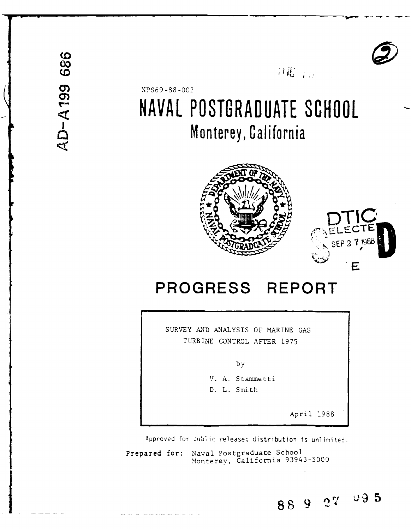

 $\partial \mathcal{X}_{(T)}$  and

# NPS69-88-002 **NAVAL POSTGRADUATE SCHOOL** Monterey, California





## **PROGRESS REPORT**

SURVEY **AND** ANALYSIS OF MARINE GAS TURBINE CONTROL AFTER 1975

**by**

V. A. Stammetti

D. L. Smith

April 1988

88 9 27 09 5

Approved for public release: distribution is unlimited.

**Prepared** for: Naval Postgraduate School Monterey, California 93943-5000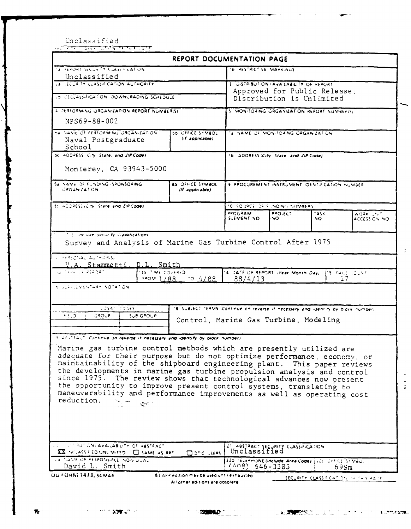|                                                                                                                                                                                                                                                                                                                                                                                                                                                                                                                                                                                                                                                                                                                                                                                                                                                      | REPORT DOCUMENTATION PAGE                                                          |                                                                                                                  |                                                              |              |                                                                        |  |
|------------------------------------------------------------------------------------------------------------------------------------------------------------------------------------------------------------------------------------------------------------------------------------------------------------------------------------------------------------------------------------------------------------------------------------------------------------------------------------------------------------------------------------------------------------------------------------------------------------------------------------------------------------------------------------------------------------------------------------------------------------------------------------------------------------------------------------------------------|------------------------------------------------------------------------------------|------------------------------------------------------------------------------------------------------------------|--------------------------------------------------------------|--------------|------------------------------------------------------------------------|--|
| Tá PHEPORT SECURITY CUASS FICATION                                                                                                                                                                                                                                                                                                                                                                                                                                                                                                                                                                                                                                                                                                                                                                                                                   |                                                                                    | <b>D. HESTRICT VE MARK NUS</b>                                                                                   |                                                              |              |                                                                        |  |
| Unclassified<br>LA LECUR TY CLASSIF CATION AUTHORITY                                                                                                                                                                                                                                                                                                                                                                                                                                                                                                                                                                                                                                                                                                                                                                                                 |                                                                                    |                                                                                                                  | <b>U.STRIBUT.ON/AVAILABILITY OF REPORT</b>                   |              |                                                                        |  |
|                                                                                                                                                                                                                                                                                                                                                                                                                                                                                                                                                                                                                                                                                                                                                                                                                                                      |                                                                                    |                                                                                                                  | Approved for Public Release;                                 |              |                                                                        |  |
| LO DECLASS FICATION DOWNGRADING SCHEDULE                                                                                                                                                                                                                                                                                                                                                                                                                                                                                                                                                                                                                                                                                                                                                                                                             |                                                                                    | Distribution is Unlimited                                                                                        |                                                              |              |                                                                        |  |
| 4 PERFORMING ORGANIZATION REPORT NUMBER(S)                                                                                                                                                                                                                                                                                                                                                                                                                                                                                                                                                                                                                                                                                                                                                                                                           |                                                                                    | S. MONITORING ORGANIZATION REPORT NUMBERIST                                                                      |                                                              |              |                                                                        |  |
| NPS69-88-002                                                                                                                                                                                                                                                                                                                                                                                                                                                                                                                                                                                                                                                                                                                                                                                                                                         |                                                                                    |                                                                                                                  |                                                              |              |                                                                        |  |
| 24 YANE OF PERFORMING ORGANIZATION<br>Naval Postgraduate<br>School                                                                                                                                                                                                                                                                                                                                                                                                                                                                                                                                                                                                                                                                                                                                                                                   | <b>60 OFFICE STMBOL</b><br>(If applicable)                                         | 's NAME OF MONITORING ORGANIZATION                                                                               |                                                              |              |                                                                        |  |
| 5c. ADDRESS (City, State, and ZIP Code)                                                                                                                                                                                                                                                                                                                                                                                                                                                                                                                                                                                                                                                                                                                                                                                                              |                                                                                    |                                                                                                                  | 7b. ADDRESS (City, State, and ZIP Code).                     |              |                                                                        |  |
| Monterey, CA 93943-5000                                                                                                                                                                                                                                                                                                                                                                                                                                                                                                                                                                                                                                                                                                                                                                                                                              |                                                                                    |                                                                                                                  |                                                              |              |                                                                        |  |
| 5a NAME OF FUNDING / SPONSORING<br>CRGANIZATION                                                                                                                                                                                                                                                                                                                                                                                                                                                                                                                                                                                                                                                                                                                                                                                                      | Bo OFFICE SYMBOL<br>(If applicable)                                                | <b>3 PPOCUREMENT INSTRUMENT IDENT-FICATION NUMBER</b>                                                            |                                                              |              |                                                                        |  |
| BUILDONESS (CITY) State and ZIP Code).                                                                                                                                                                                                                                                                                                                                                                                                                                                                                                                                                                                                                                                                                                                                                                                                               |                                                                                    |                                                                                                                  | 10 SOUPCE OF FUNDING NUMBERS                                 |              |                                                                        |  |
|                                                                                                                                                                                                                                                                                                                                                                                                                                                                                                                                                                                                                                                                                                                                                                                                                                                      |                                                                                    | 280GRAM<br>ELEMENT NO                                                                                            | <b>PRO,ECT</b><br>NO.                                        | TASK.<br>NO. | $A$ <sup>()<math>R</math></sup> K $\rightarrow$ $\sim$<br>ACCESS CN NO |  |
|                                                                                                                                                                                                                                                                                                                                                                                                                                                                                                                                                                                                                                                                                                                                                                                                                                                      |                                                                                    |                                                                                                                  |                                                              |              |                                                                        |  |
| V.A. Stammetti, D.L. Smith<br>35 TIME COVERED                                                                                                                                                                                                                                                                                                                                                                                                                                                                                                                                                                                                                                                                                                                                                                                                        | $1/88 - 0.4/88$                                                                    | 14 DATE OF REPORT (Year Month Day)<br>83/4/13                                                                    | Survey and Analysis of Marine Gas Turbine Control After 1975 |              | <sup>1</sup> S PAGE LOUNT<br>ī 7                                       |  |
| $\sqrt{254}$ $\sqrt{22565}$<br>$5.3^{\circ}$<br>GROUP.<br><b>SUB-GROUP</b>                                                                                                                                                                                                                                                                                                                                                                                                                                                                                                                                                                                                                                                                                                                                                                           | 18. SUBJECT TERMS (Continue on reverse if necessary and identify by block number). |                                                                                                                  |                                                              |              |                                                                        |  |
|                                                                                                                                                                                                                                                                                                                                                                                                                                                                                                                                                                                                                                                                                                                                                                                                                                                      | Control, Marine Gas Turbine, Modeling                                              |                                                                                                                  |                                                              |              |                                                                        |  |
|                                                                                                                                                                                                                                                                                                                                                                                                                                                                                                                                                                                                                                                                                                                                                                                                                                                      |                                                                                    |                                                                                                                  |                                                              |              |                                                                        |  |
| سيبي                                                                                                                                                                                                                                                                                                                                                                                                                                                                                                                                                                                                                                                                                                                                                                                                                                                 |                                                                                    |                                                                                                                  |                                                              |              |                                                                        |  |
| L. FERSONAL AUTHORISE<br>EU TYPE DE REPORT<br><b>SUSPECTARY NOTATION</b><br>Fills,"AAL". Continue on reverse if necessary and identify by block number).<br>Marine gas turbine control methods which are presently utilized are<br>adequate for their purpose but do not optimize performance, economy, or<br>maintainability of the shipboard engineering plant. This paper reviews<br>the developments in marine gas turbine propulsion analysis and control<br>since 1975. The review shows that technological advances now present<br>the opportunity to improve present control systems, translating to<br>maneuverability and performance improvements as well as operating cost<br>reduction.<br>. I IS TO BUT CN, AVAILABILITY OF ABSTRACT<br>XX NCLASS FED UNLIMITED. C SAME AS RPT<br>LLA TIANTE OF RESPONSIBLE NOW JUAL<br>David L. Smith | $\Box$ one users $\Box$                                                            | 21 ABSTRACT SECURITY CLASSIFICATION<br>220 FELEPHONE (Include Area Code)   LEC OFF CE ST VBO<br>$(408)$ 546-3383 |                                                              |              | $69$ Sm                                                                |  |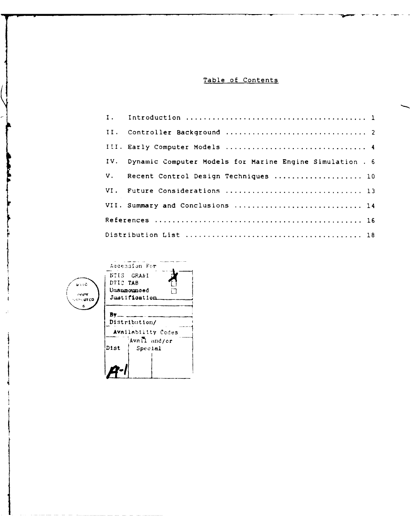#### Table of Contents

| $I$ . |                                                          |
|-------|----------------------------------------------------------|
|       |                                                          |
|       | III. Early Computer Models  4                            |
| IV.   | Dynamic Computer Models for Marine Engine Simulation . 6 |
| V.    | Recent Control Design Techniques  10                     |
|       | VI. Future Considerations  13                            |
|       | VII. Summary and Conclusions  14                         |
|       |                                                          |
|       |                                                          |
|       |                                                          |

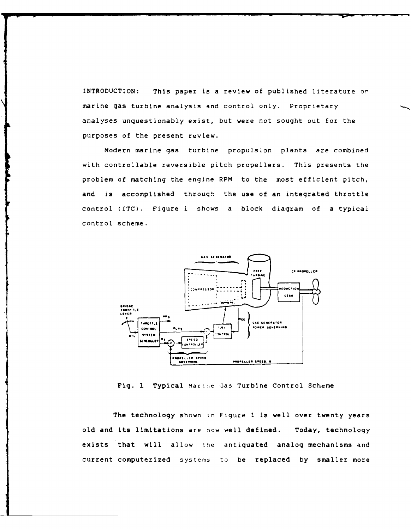INTRODUCTION: This paper is a review of published literature on marine gas turbine analysis and control only. Proprietary analyses unquestionably exist, but were not sought out for the purposes of the present review.

Modern marine gas turbine propulsion plants are combined with controllable reversible pitch propellers. This presents the problem of matching the engine RPM to the most efficient pitch, and is accomplished through the use of an integrated throttle control (ITC). Figure 1 shows a block diagram of a typical control scheme.



Fig. 1 Typical Marine Gas Turbine Control Scheme

The technology shown in Figure 1 is well over twenty years old and its limitations are now well defined. Today, technology exists that will allow the antiquated analog mechanisms and current computerized systems to be replaced **by** smaller more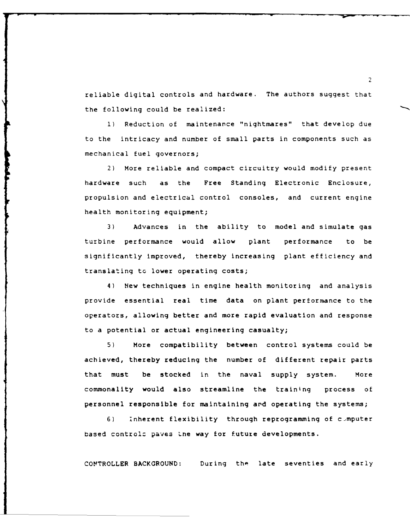reliable digital controls and hardware. The authors suggest that the following could be realized:

**1)** Reduction of maintenance "nightmares" that develop due to the intricacy and number of small parts in components such as mechanical fuel governors;

2) More reliable and compact circuitry would modify present hardware such as the Free Standing Electronic Enclosure, propulsion and electrical control consoles, and current engine health monitoring equipment;

3) Advances in the ability to model and simulate gas turbine performance would allow plant performance to be significantly improved, thereby increasing plant efficiency and translating to lower operating costs;

4) New techniques in engine health monitoring and analysis provide essential real time data on plant performance to the operators, allowing better and more rapid evaluation and response to a potential or actual engineering casualty;

5) More compatibility between control systems could be achieved, thereby reducing the number of different repair parts that must be stocked in the naval supply system. More commonality would also streamline the training process of personnel responsible for maintaining ard operating the systems;

6) inherent flexibility through reprogramming of c~mputer based control: paves Lne way for future developments.

CONTROLLER **BACKGROUND:** During the late seventies and early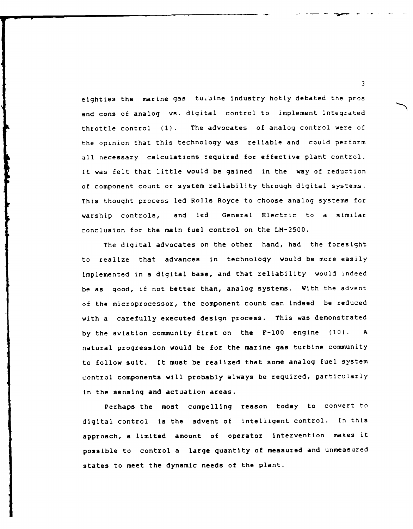eighties the marine gas turbine industry hotly debated the pros and cons of analog vs. digital control to implement integrated throttle control (1). The advocates of analog control were of the opinion that this technology was reliable and could perform all necessary calculations required for effective plant control. It was felt that little would be gained in the way of reduction of component count or system reliability through digital systems. This thought process led Rolls Royce to choose analog systems for warship controls, and led General Electric to a similar conclusion for the main fuel control on the LM-2500.

The digital advocates on the other hand, had the foresight to realize that advances in technology would be more easily Implemented in a digital base, and that reliability would indeed be as good, if not better than, analog systems. With the advent of the microprocessor, the component count can indeed be reduced with a carefully executed design process. This was demonstrated by the aviation community first on the F-100 engine (10). A natural progression would be for the marine gas turbine community to follow suit. It must be realized that some analog fuel system control components will probably always be required, particularly in the sensing and actuation areas.

Perhaps the most compelling reason today to convert to digital control is the advent of intelligent control. In this approach, a limited amount of operator intervention makes it possible to control a large quantity of measured and unmeasured states to meet the dynamic needs of the plant.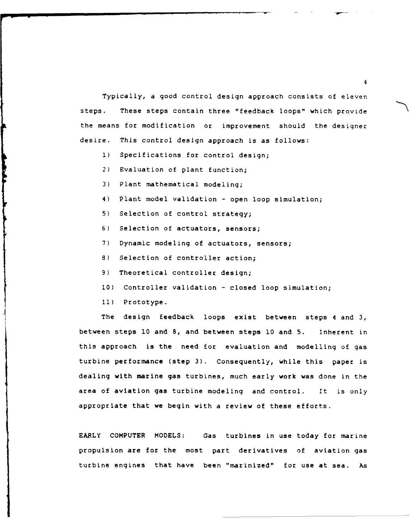Typically, a good control design approach consists of eleven steps. These steps contain three "feedback loops" which provide the means for modification or improvement should the designer desire. This control design approach is as follows:

- **1)** Specifications for control design;
- 2) Evaluation of plant function;
- 3) Plant mathematical modeling;
- 4) Plant model validation open loop simulation;
- 5) Selection of control strategy;
- 6) Selection of actuators, sensors;
- 7) Dynamic modeling of actuators, sensors;
- 8) Selection of controller action;
- 9) Theoretical controller design;
- **10)** Controller validation closed loop simulation;
- **11)** Prototype.

The design feedback loops exist between steps 4 and 3, between steps **10** and 8, and between steps **10** and 5. Inherent in this approach is the need for evaluation and modelling of gas turbine performance (step 3). Consequently, while this paper is dealing with marine gas turbines, much early work was done in the area of aviation gas turbine modeling and control. It is only appropriate that we begin with a review of these efforts.

EARLY COMPUTER **MODELS:** Gas turbines in use today for marine propulsion are for the most part derivatives of aviation gas turbine engines that have been "marinized" for use at sea. As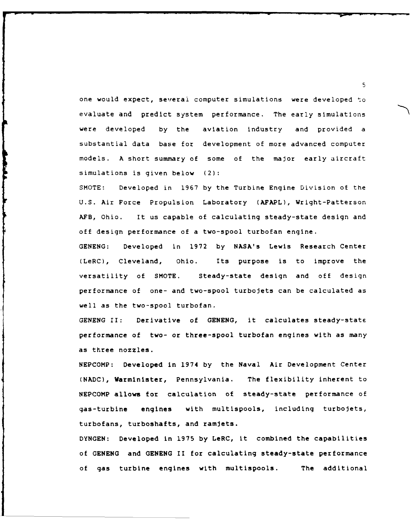one would expect, several computer simulations were developed to evaluate and predict system performance. The early simulations were developed by the aviation industry and provided a substantial data base for development of more advanced computer models. A short summary of some of the major early aircraft simulations is given below (2):

SMOTE: Developed in 1967 by the Turbine Engine Division of the U.S. Air Force Propulsion Laboratory (AFAPL), Wright-Patterson AFB, Ohio. It us capable of calculating steady-state design and off design performance of a two-spool turbofan engine.

GENENG: Developed in 1972 by NASA's Lewis Research Center (LeRC), Cleveland, Ohio. Its purpose is to improve the versatility of SMOTE. Steady-state design and off design performance of one- and two-spool turbojets can be calculated as well as the two-spool turbofan.

GENENG II: Derivative of GENENG, it calculates steady-state performance of two- or three-spool turbofan engines with as many as three nozzles.

NEPCOMP: Developed in 1974 by the Naval Air Development Center (NADC), Warminister, Pennsylvania. The flexibility inherent to NEPCOMP allows for calculation of steady-state performance of gas-turbine engines with multispools, including turbojets, turbofans, turboshafts, and ramjets.

DYNGEN: Developed in 1975 by LeRC, it combined the capabilities of GENENG and GENENG II for calculating steady-state performance of gas turbine engines with multispools. The additional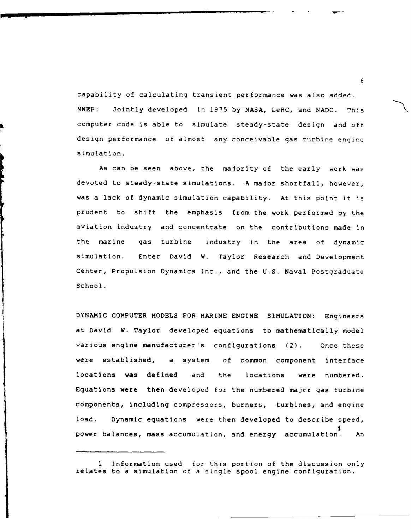capability of calculating transient performance was also added. NNEP: Jointly developed in 1975 by NASA, LeRC, and NADC. This computer code is able to simulate steady-state design and off design performance of almost any conceivable gas turbine engine simulation.

As can be seen above, the majority of the early work was devoted to steady-state simulations. A major shortfall, however, was a lack of dynamic simulation capability. At this point it is prudent to shift the emphasis from the work performed by the aviation industry and concentrate on the contributions made in the marine gas turbine industry in the area of dynamic simulation. Enter David W. Taylor Research and Development Center, Propulsion Dynamics Inc., and the U.S. Naval Postgraduate School.

DYNAMIC COMPUTER **MODELS** FOR MARINE **ENGINE** SIMULATION: Engineers at David W. Taylor developed equations to mathematically model various engine manufacturer's configurations (2). Once these were established, a system of common component interface locations was defined and the locations were numbered. Equations were then developed for the numbered majcr gas turbine components, including compressors, burners, turbines, and engine load. Dynamic equations were then developed to describe speed, I power balances, mass accumulation, and energy accumulation. An

<sup>1</sup> Information used for this portion of the discussion only relates to a simulation of a single spool engine configuration.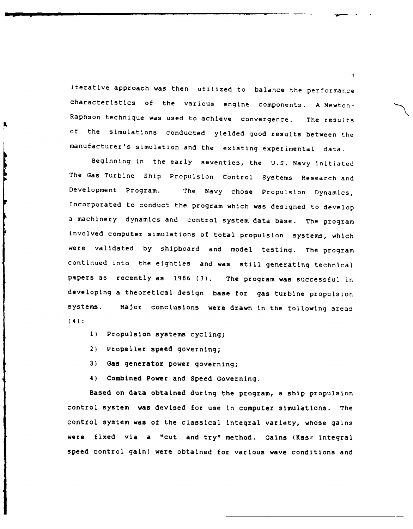iterative approach was then utilized to balance the performance characteristics of the various engine components. A Newton-Raphson technique was used to achieve convergence. The results of the simulations conducted yielded good results between the manufacturer's simulation and the existing experimental data.

Beginning in the early seventies, the U.S. Navy initiated The Gas Turbine Ship Propulsion Control Systems Research and Development Program. The Navy chose Propulsion Dynamics, Incorporated to conduct the program which was designed to develop a machinery dynamics and control system data base. The program involved computer simulations of total propulsion systems, which were validated by shipboard and model testing. The program continued into the eighties and was still generating technical papers as recently as 1986 (3). The program was successful in developing a theoretical design base for gas turbine propulsion systems. Major conclusions were drawn in the following areas (4):

- **1)** Propulsion systems cycling;
- 2) Propeller speed governing;
- 3) Gas generator power governing;
- 4) Combined Power and Speed Governing.

Based on data obtained during the program, a ship propulsion control system was devised for use in computer simulations. The control system was of the classical integral variety, whose gains were fixed via a "cut and try" method. Gains (Kss= integral speed control gain) were obtained for various wave conditions and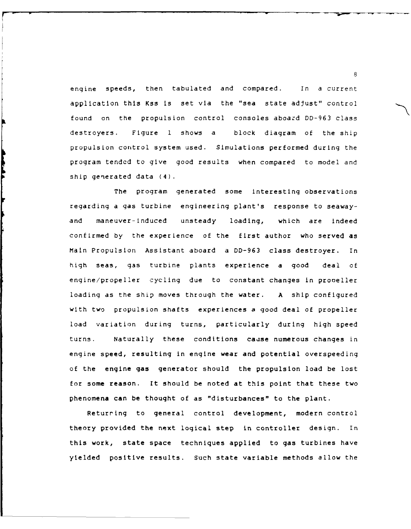engine speeds, then tabulated and compared. In a current application this Kss is set via the "sea state adjust" control found on the propulsion control consoles aboazd DD-963 class destroyers. Figure 1 shows a block diagram of the ship propulsion control system used. Simulations performed during the program tended to give good results when compared to model and ship generated data (4).

**The Second Service** 

The program generated some interesting observations regarding a gas turbine engineering plant's response to seawayand maneuver-induced unsteady loading, which are indeed confirmed by the experience of the first author who served as Main Propulsion Assistant aboard a DD-963 class destroyer. In high seas, gas turbine plants experience a good deal of engine/propeller cycling due to constant changes in prooeller loading as the ship moves through the water. A ship configured with two propulsion shafts experiences a good deal of propeller load variation during turns, particularly during high speed turns. Naturally these conditions cause numerous changes in engine speed, resulting in engine wear and potential overspeeding of the engine gas generator should the propulsion load be lost for some reason. It should be noted at this point that these two phenomena can be thought of as "disturbances" to the plant.

Returring to general control development, modern control theory provided the next logical step in controller design. In this work, state space techniques applied to gas turbines have yielded positive results. Such state variable methods allow the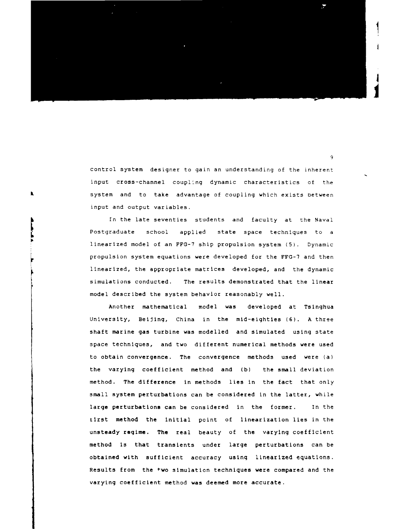

control system designer to gain an understanding of the inherent input cross-channel coupling dynamic characteristics of the system and to take advantage of coupling which exists between input and output variables.

 $\pmb{\mathsf{k}}$ 

In the late seventies students and faculty at the Naval Postgraduate school applied state space techniques to a linearized model of an FFG-7 ship propulsion system (5). Dynamic propulsion system equations were developed for the FFG-7 and then linearized, the appropriate matrices developed, and the dynamic simulations conducted. The results demonstrated that the linear model described the system behavior reasonably well.

Another mathematical model was developed at Tsinghua University, Beijing, China in the mid-eighties (6). A three shaft marine gas turbine was modelled and simulated using state space techniques, and two different numerical methods were used to obtain convergence. The convergence methods used were (a) the varying coefficient method and (b) the small deviation method. The difference in methods lies in the fact that only small system perturbations can be considered in the latter, while large perturbations can be considered in the former. In the tirst method the initial point of linearization lies in the unsteady regime. The real beauty of the varying coefficient method is that transients under large perturbations can be obtained with sufficient accuracy using linearized equations. Results from the fwo simulation techniques were compared and the varying coefficient method was deemed more accurate.

 $\overline{Q}$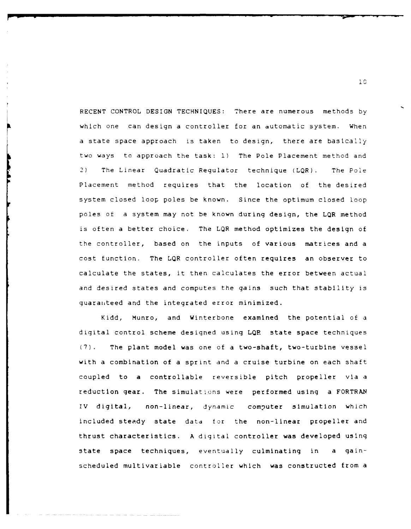**RECENT** CONTROL DESIGN **TECHNIQUES:** There are numerous methods **by** which one can design a controller for an automatic system. When a state space approach is taken to design, there are basically two ways to approach the task: i) The Pole Placement method and 2) The Linear Quadratic Regulator technique (LQR). The Pole Placement method requires that the location of the desired system closed loop poles be known. Since the optimum closed loop poles of a system may not be known during design, the LQR method is often a better choice. The LQR method optimizes the design of the controller, based on the inputs of various matrices and a cost function. The LQR controller often requires an observer to calculate the states, it then calculates the error between actual and desired states and computes the gains such that stability is guaranteed and the integrated error minimized.

Kidd, Munro, and Winterbone examined the potential of a digital control scheme designed using **LQR** state space techniques (7). The plant model was one of a two-shaft, two-turbine vessel with a combination of a sprint and a cruise turbine on each shaft coupled to a controllable reversible pitch propeller via a reduction gear. The simulations were performed using a FORTRAN IV digital, non-linear, dynamic computer simulation which included steady state data for the non-linear propeller and thrust characteristics. A digital controller was developed using state space techniques, eventually culminating in a gainscheduled multivariable controller which was constructed from a

iC

- **r -**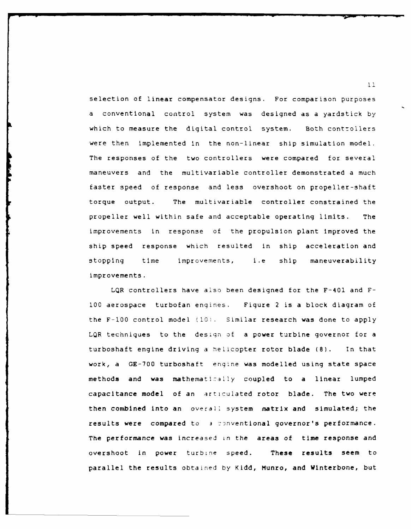selection of linear compensator designs. For comparison purposes a conventional control system was designed as a yardstick by which to measure the digital control system. Both controllers were then implemented in the non-linear ship simulation model. The responses of the two controllers were compared for several maneuvers and the multivariable controller demonstrated a much faster speed of response and less overshoot on propeller-shaft torque output. The multivariable controller constrained the propeller well within safe and acceptable operating limits. The improvements in response of the propulsion plant improved the ship speed response which resulted in ship acceleration and stopping time improvements, i.e ship maneuverability improvements.

LQR controllers have also been designed for the F-401 and F-**100** aerospace turbofan engines. Figure 2 is a block diagram of the F-100 control model **(i0l.** Similar research was done to apply LQR techniques to the design of a power turbine governor for a turboshaft engine driving a helicopter rotor blade (8). In that work, a GE-700 turboshaft engine was modelled using state space methods and was mathematically coupled to a linear lumped capacitance model of an articulated rotor blade. The two were then combined into an overall system matrix and simulated; the results were compared to **3** :nventional governor's performance. The performance was increased in the areas of time response and overshoot in power turbine speed. These results seem to parallel the results obtained by Kidd, Munro, and Winterbone, but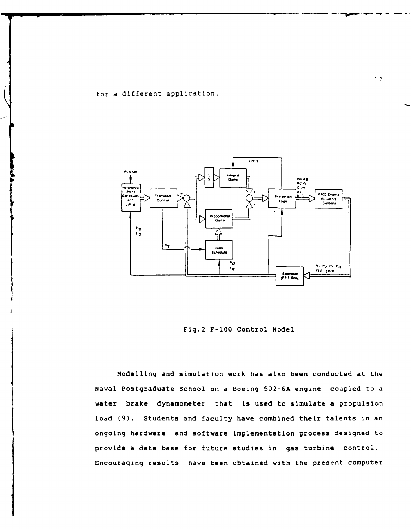for a different application.



Fig.2 F-100 Control Model

Modelling and simulation work has also been conducted at the Naval Postgraduate School on a Boeing 502-6A engine coupled to a water brake dynamometer that is used to simulate a propulsion load (9). Students and faculty have combined their talents in an ongoing hardware and software implementation process designed to provide a data base for future studies in gas turbine control. Encouraging results have been obtained with the present computer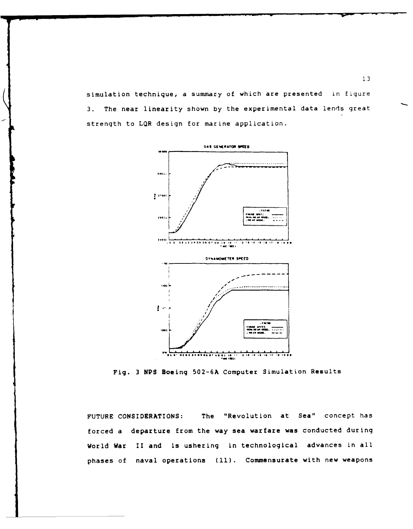simulation technique, a summary of which are presented in figure 3. The near linearity shown by the experimental data lends great strength to LQR design for marine application.



Fig. **3 NPS** Boeing **502-6A** Computer Simulation Results

**FUTURE** CONSIDERATIONS: The "Revolution at Sea" concept has forced a departure from the way sea warfare was conducted during World War II and is ushering in technological advances in all phases of naval operations **(11).** Commensurate with new weapons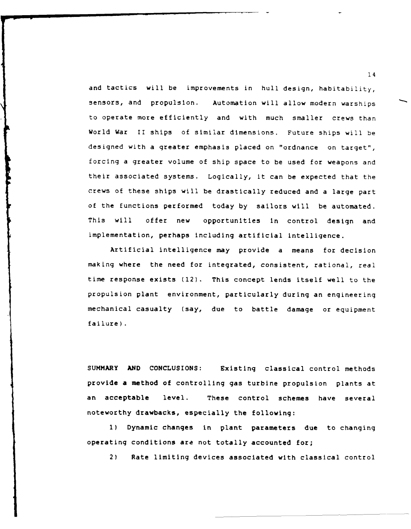and tactics will be improvements in hull design, habitability, sensors, and propulsion. Automation will allow modern warships to operate more efficiently and with much smaller crews than World War II ships of similar dimensions. Future ships will be designed with a greater emphasis placed on "ordnance on target", forcing a greater volume of ship space to be used for weapons and their associated systems. Logically, it can be expected that the crews of these ships will be drastically reduced and a large part of the functions performed today by sailors will be automated. This will offer new opportunities in control design and implementation, perhaps including artificial intelligence.

Artificial intelligence may provide a means for decision making where the need for integrated, consistent, rational, real time response exists (12). This concept lends itself well to the propulsion plant environment, particularly during an engineering mechanical casualty (say, due to battle damage or equipment failure).

SUMMARY **AND CONCLUSIONS:** Existing classical control methods provide a method of controlling gas turbine propulsion plants at an acceptable level. These control schemes have several noteworthy drawbacks, especially the following:

**1)** Dynamic changes in plant parameters due to changing operating conditions are not totally accounted for;

2) Rate limiting devices associated with classical control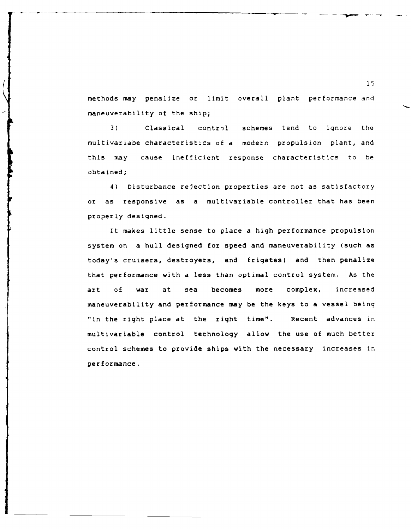methods may penalize or limit overall plant performance and maneuverability of the ship;

3) Classical control schemes tend to ignore the multivariabe characteristics of a modern propulsion plant, and this may cause inefficient response characteristics to be obtained;

4) Disturbance rejection properties are not as satisfactory or as responsive as a multivariable controller that has been properly designed.

It makes little sense to place a high performance propulsion system on a hull designed for speed and maneuverability (such as today's cruisers, destroyers, and frigates) and then penalize that performance with a less than optimal control system. As the art of war at sea becomes more complex, increased maneuverability and performance may be the keys to a vessel being "in the right place at the right time". Recent advances in multivariable control technology allow the use of much better control schemes to provide ships with the necessary increases in performance.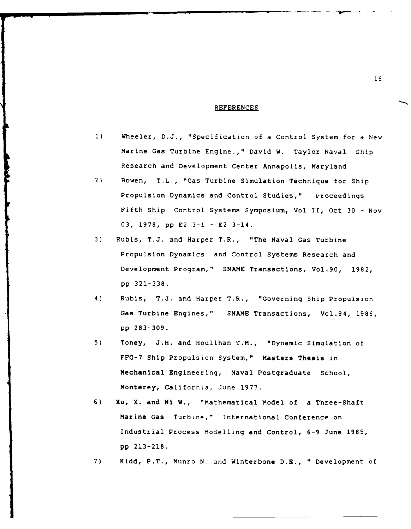#### **REFERENCES**

- **1)** Wheeler, D.J., "Specification of a Control System for a New Marine Gas Turbine Engine.," David W. Taylor Naval Ship Research and Development Center Annapolis, Maryland
- 2) Bowen, T.L., "Gas Turbine Simulation Technique for Ship Propulsion Dynamics and Control Studies," Proceedings Fifth Ship Control Systems Symposium, Vol II, Oct 30 - Nov 03, 1978, pp E2 3-1 - E2 3-14.
- 3) Rubis, T.J. and Harper T.R., "The Naval Gas Turbine Propulsion Dynamics and Control Systems Research and Development Program," SNAME Transactions, Vol.90, 1982, pp 321-338.
- 4) Rubis, T.J. and Harper T.R., "Governing Ship Propulsion Gas Turbine Engines," SNAME Transactions, Vol.94, 1986, pp 283-309.
- 5) Toney, J.H. and Houlihan T.M., "Dynamic Simulation of FFG-7 Ship Propulsion System," Masters Thesis in Mechanical Engineering, Naval Postgraduate School, Monterey, California, June 1977.
- 6) Xu, X. and Ni W., "Mathematical Model of a Three-Shaft Marine Gas Turbine," International Conference on Industrial Process Modelling and Control, 6-9 June 1985, pp 213-218.
- 7) Kidd, P.T., Munro **N.** and Winterbone D.E., " Development of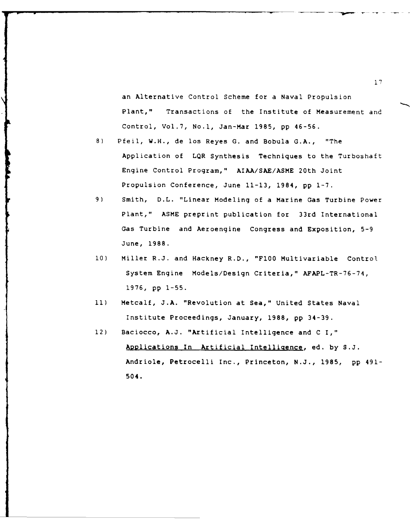an Alternative Control Scheme for a Naval Propulsion Plant," Transactions of the Institute of Measurement and Control, Vol.7, No.1, Jan-Mar 1985, pp 46-56.

- 8) Pfeil, W.H., de los Reyes G. and Bobula G.A., "The Application of LQR Synthesis Techniques to the Turboshaft Engine Control Program," AIAA/SAE/ASME 20th Joint Propulsion Conference, June 11-13, 1984, pp 1-7.
- 9) Smith, D.L. "Linear Modeling of a Marine Gas Turbine Power Plant," ASME preprint publication for 33rd International Gas Turbine and Aeroengine Congress and Exposition, 5-9 June, 1988.
- 10) Miller R.J. and Hackney R.D., "F100 Multivariable Control System Engine Models/Design Criteria," AFAPL-TR-76-74, 1976, pp 1-55.
- **11)** Metcalf, J.A. "Revolution at Sea," United States Naval Institute Proceedings, January, 1988, pp 34-39.
- 12) Baciocco, A.J. "Artificial Intelligence and C I," Applications In Artificial Intelligence, ed. by S.J. Andriole, Petrocelli Inc., Princeton, N.J., 1985, pp 491- 504.